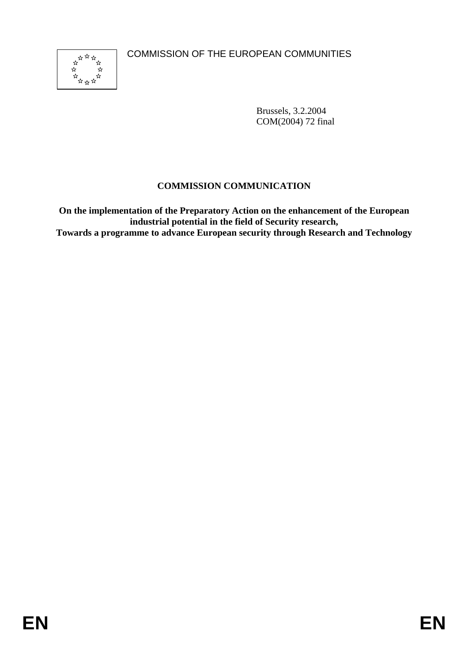COMMISSION OF THE EUROPEAN COMMUNITIES



Brussels, 3.2.2004 COM(2004) 72 final

# **COMMISSION COMMUNICATION**

**On the implementation of the Preparatory Action on the enhancement of the European industrial potential in the field of Security research, Towards a programme to advance European security through Research and Technology**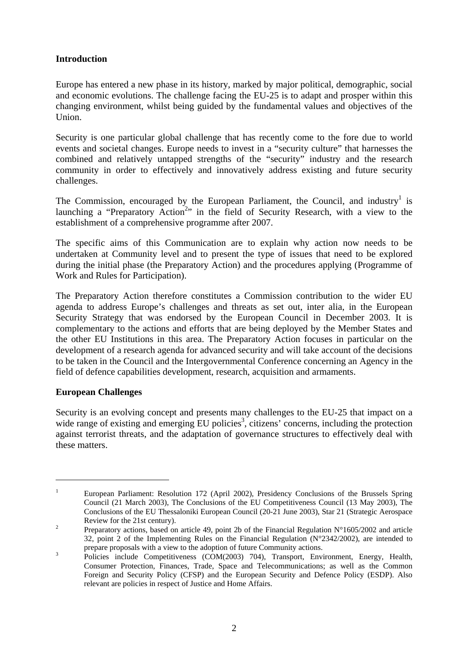# **Introduction**

Europe has entered a new phase in its history, marked by major political, demographic, social and economic evolutions. The challenge facing the EU-25 is to adapt and prosper within this changing environment, whilst being guided by the fundamental values and objectives of the Union.

Security is one particular global challenge that has recently come to the fore due to world events and societal changes. Europe needs to invest in a "security culture" that harnesses the combined and relatively untapped strengths of the "security" industry and the research community in order to effectively and innovatively address existing and future security challenges.

The Commission, encouraged by the European Parliament, the Council, and industry<sup>1</sup> is launching a "Preparatory Action<sup>2</sup>" in the field of Security Research, with a view to the establishment of a comprehensive programme after 2007.

The specific aims of this Communication are to explain why action now needs to be undertaken at Community level and to present the type of issues that need to be explored during the initial phase (the Preparatory Action) and the procedures applying (Programme of Work and Rules for Participation).

The Preparatory Action therefore constitutes a Commission contribution to the wider EU agenda to address Europe's challenges and threats as set out, inter alia, in the European Security Strategy that was endorsed by the European Council in December 2003. It is complementary to the actions and efforts that are being deployed by the Member States and the other EU Institutions in this area. The Preparatory Action focuses in particular on the development of a research agenda for advanced security and will take account of the decisions to be taken in the Council and the Intergovernmental Conference concerning an Agency in the field of defence capabilities development, research, acquisition and armaments.

# **European Challenges**

 $\overline{a}$ 

Security is an evolving concept and presents many challenges to the EU-25 that impact on a wide range of existing and emerging EU policies<sup>3</sup>, citizens' concerns, including the protection against terrorist threats, and the adaptation of governance structures to effectively deal with these matters.

<sup>1</sup> European Parliament: Resolution 172 (April 2002), Presidency Conclusions of the Brussels Spring Council (21 March 2003), The Conclusions of the EU Competitiveness Council (13 May 2003), The Conclusions of the EU Thessaloniki European Council (20-21 June 2003), Star 21 (Strategic Aerospace Review for the 21st century).<br><sup>2</sup> Preparatory actions, based on article 49, point 2b of the Financial Regulation N°1605/2002 and article

<sup>32,</sup> point 2 of the Implementing Rules on the Financial Regulation (N°2342/2002), are intended to prepare proposals with a view to the adoption of future Community actions.

Policies include Competitiveness (COM(2003) 704), Transport, Environment, Energy, Health, Consumer Protection, Finances, Trade, Space and Telecommunications; as well as the Common Foreign and Security Policy (CFSP) and the European Security and Defence Policy (ESDP). Also relevant are policies in respect of Justice and Home Affairs.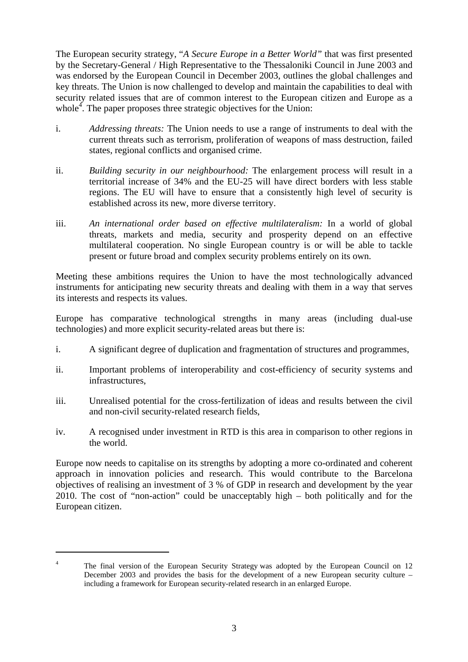The European security strategy, "*A Secure Europe in a Better World"* that was first presented by the Secretary-General / High Representative to the Thessaloniki Council in June 2003 and was endorsed by the European Council in December 2003, outlines the global challenges and key threats. The Union is now challenged to develop and maintain the capabilities to deal with security related issues that are of common interest to the European citizen and Europe as a whole<sup>4</sup>. The paper proposes three strategic objectives for the Union:

- i. *Addressing threats:* The Union needs to use a range of instruments to deal with the current threats such as terrorism, proliferation of weapons of mass destruction, failed states, regional conflicts and organised crime.
- ii. *Building security in our neighbourhood:* The enlargement process will result in a territorial increase of 34% and the EU-25 will have direct borders with less stable regions. The EU will have to ensure that a consistently high level of security is established across its new, more diverse territory.
- iii. *An international order based on effective multilateralism:* In a world of global threats, markets and media, security and prosperity depend on an effective multilateral cooperation. No single European country is or will be able to tackle present or future broad and complex security problems entirely on its own.

Meeting these ambitions requires the Union to have the most technologically advanced instruments for anticipating new security threats and dealing with them in a way that serves its interests and respects its values.

Europe has comparative technological strengths in many areas (including dual-use technologies) and more explicit security-related areas but there is:

- i. A significant degree of duplication and fragmentation of structures and programmes,
- ii. Important problems of interoperability and cost-efficiency of security systems and infrastructures,
- iii. Unrealised potential for the cross-fertilization of ideas and results between the civil and non-civil security-related research fields,
- iv. A recognised under investment in RTD is this area in comparison to other regions in the world.

Europe now needs to capitalise on its strengths by adopting a more co-ordinated and coherent approach in innovation policies and research. This would contribute to the Barcelona objectives of realising an investment of 3 % of GDP in research and development by the year 2010. The cost of "non-action" could be unacceptably high – both politically and for the European citizen.

 $\overline{a}$ 

<sup>4</sup> The final version of the European Security Strategy was adopted by the European Council on 12 December 2003 and provides the basis for the development of a new European security culture – including a framework for European security-related research in an enlarged Europe.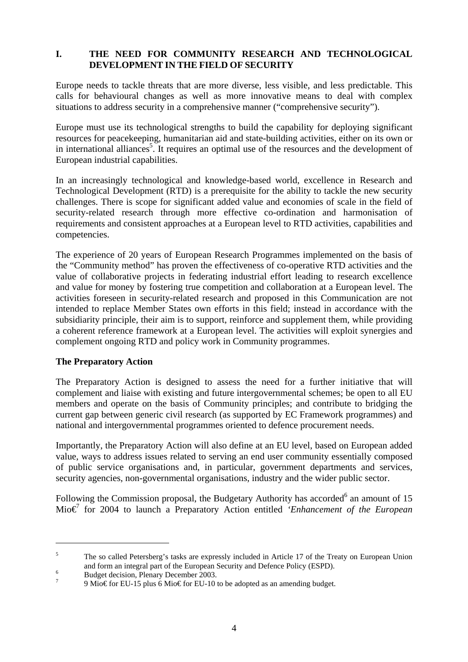# **I. THE NEED FOR COMMUNITY RESEARCH AND TECHNOLOGICAL DEVELOPMENT IN THE FIELD OF SECURITY**

Europe needs to tackle threats that are more diverse, less visible, and less predictable. This calls for behavioural changes as well as more innovative means to deal with complex situations to address security in a comprehensive manner ("comprehensive security").

Europe must use its technological strengths to build the capability for deploying significant resources for peacekeeping, humanitarian aid and state-building activities, either on its own or in international alliances<sup>5</sup>. It requires an optimal use of the resources and the development of European industrial capabilities.

In an increasingly technological and knowledge-based world, excellence in Research and Technological Development (RTD) is a prerequisite for the ability to tackle the new security challenges. There is scope for significant added value and economies of scale in the field of security-related research through more effective co-ordination and harmonisation of requirements and consistent approaches at a European level to RTD activities, capabilities and competencies.

The experience of 20 years of European Research Programmes implemented on the basis of the "Community method" has proven the effectiveness of co-operative RTD activities and the value of collaborative projects in federating industrial effort leading to research excellence and value for money by fostering true competition and collaboration at a European level. The activities foreseen in security-related research and proposed in this Communication are not intended to replace Member States own efforts in this field; instead in accordance with the subsidiarity principle, their aim is to support, reinforce and supplement them, while providing a coherent reference framework at a European level. The activities will exploit synergies and complement ongoing RTD and policy work in Community programmes.

# **The Preparatory Action**

 $\overline{a}$ 

The Preparatory Action is designed to assess the need for a further initiative that will complement and liaise with existing and future intergovernmental schemes; be open to all EU members and operate on the basis of Community principles; and contribute to bridging the current gap between generic civil research (as supported by EC Framework programmes) and national and intergovernmental programmes oriented to defence procurement needs.

Importantly, the Preparatory Action will also define at an EU level, based on European added value, ways to address issues related to serving an end user community essentially composed of public service organisations and, in particular, government departments and services, security agencies, non-governmental organisations, industry and the wider public sector.

Following the Commission proposal, the Budgetary Authority has accorded $<sup>6</sup>$  an amount of 15</sup> Mio€7 for 2004 to launch a Preparatory Action entitled *'Enhancement of the European* 

<sup>5</sup> The so called Petersberg's tasks are expressly included in Article 17 of the Treaty on European Union and form an integral part of the European Security and Defence Policy (ESPD).

 $^{6}$  Budget decision, Plenary December 2003.

<sup>9</sup> Mio€ for EU-15 plus 6 Mio€ for EU-10 to be adopted as an amending budget.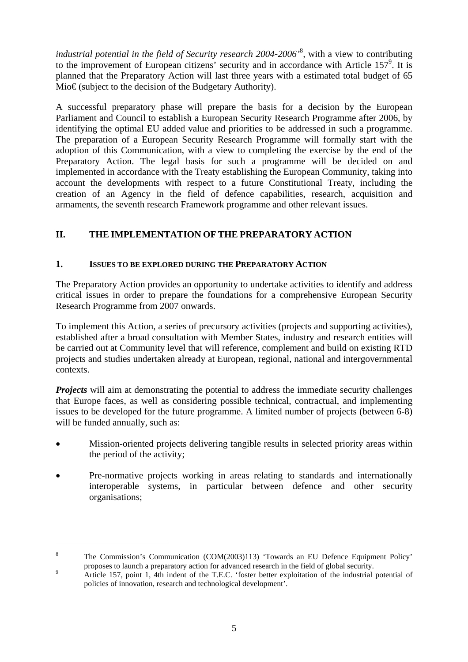*industrial potential in the field of Security research 2004-2006<sup>'8</sup>, with a view to contributing* to the improvement of European citizens' security and in accordance with Article  $157^9$ . It is planned that the Preparatory Action will last three years with a estimated total budget of 65  $MioE$  (subject to the decision of the Budgetary Authority).

A successful preparatory phase will prepare the basis for a decision by the European Parliament and Council to establish a European Security Research Programme after 2006, by identifying the optimal EU added value and priorities to be addressed in such a programme. The preparation of a European Security Research Programme will formally start with the adoption of this Communication, with a view to completing the exercise by the end of the Preparatory Action. The legal basis for such a programme will be decided on and implemented in accordance with the Treaty establishing the European Community, taking into account the developments with respect to a future Constitutional Treaty, including the creation of an Agency in the field of defence capabilities, research, acquisition and armaments, the seventh research Framework programme and other relevant issues.

# **II. THE IMPLEMENTATION OF THE PREPARATORY ACTION**

# **1. ISSUES TO BE EXPLORED DURING THE PREPARATORY ACTION**

The Preparatory Action provides an opportunity to undertake activities to identify and address critical issues in order to prepare the foundations for a comprehensive European Security Research Programme from 2007 onwards.

To implement this Action, a series of precursory activities (projects and supporting activities), established after a broad consultation with Member States, industry and research entities will be carried out at Community level that will reference, complement and build on existing RTD projects and studies undertaken already at European, regional, national and intergovernmental contexts.

*Projects* will aim at demonstrating the potential to address the immediate security challenges that Europe faces, as well as considering possible technical, contractual, and implementing issues to be developed for the future programme. A limited number of projects (between 6-8) will be funded annually, such as:

- Mission-oriented projects delivering tangible results in selected priority areas within the period of the activity;
- Pre-normative projects working in areas relating to standards and internationally interoperable systems, in particular between defence and other security organisations;

 $\overline{a}$ 

<sup>8</sup> The Commission's Communication (COM(2003)113) 'Towards an EU Defence Equipment Policy' proposes to launch a preparatory action for advanced research in the field of global security.

Article 157, point 1, 4th indent of the T.E.C. 'foster better exploitation of the industrial potential of policies of innovation, research and technological development'.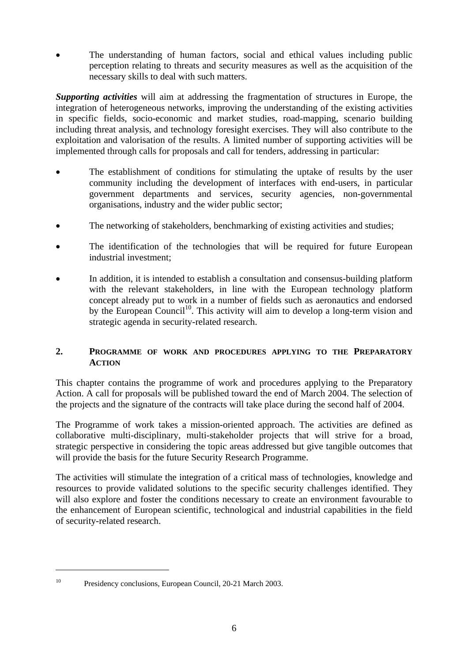The understanding of human factors, social and ethical values including public perception relating to threats and security measures as well as the acquisition of the necessary skills to deal with such matters.

*Supporting activities* will aim at addressing the fragmentation of structures in Europe, the integration of heterogeneous networks, improving the understanding of the existing activities in specific fields, socio-economic and market studies, road-mapping, scenario building including threat analysis, and technology foresight exercises. They will also contribute to the exploitation and valorisation of the results. A limited number of supporting activities will be implemented through calls for proposals and call for tenders, addressing in particular:

- The establishment of conditions for stimulating the uptake of results by the user community including the development of interfaces with end-users, in particular government departments and services, security agencies, non-governmental organisations, industry and the wider public sector;
- The networking of stakeholders, benchmarking of existing activities and studies;
- The identification of the technologies that will be required for future European industrial investment;
- In addition, it is intended to establish a consultation and consensus-building platform with the relevant stakeholders, in line with the European technology platform concept already put to work in a number of fields such as aeronautics and endorsed by the European Council<sup>10</sup>. This activity will aim to develop a long-term vision and strategic agenda in security-related research.

# **2. PROGRAMME OF WORK AND PROCEDURES APPLYING TO THE PREPARATORY ACTION**

This chapter contains the programme of work and procedures applying to the Preparatory Action. A call for proposals will be published toward the end of March 2004. The selection of the projects and the signature of the contracts will take place during the second half of 2004.

The Programme of work takes a mission-oriented approach. The activities are defined as collaborative multi-disciplinary, multi-stakeholder projects that will strive for a broad, strategic perspective in considering the topic areas addressed but give tangible outcomes that will provide the basis for the future Security Research Programme.

The activities will stimulate the integration of a critical mass of technologies, knowledge and resources to provide validated solutions to the specific security challenges identified. They will also explore and foster the conditions necessary to create an environment favourable to the enhancement of European scientific, technological and industrial capabilities in the field of security-related research.

 $\overline{a}$ 

<sup>&</sup>lt;sup>10</sup> Presidency conclusions, European Council, 20-21 March 2003.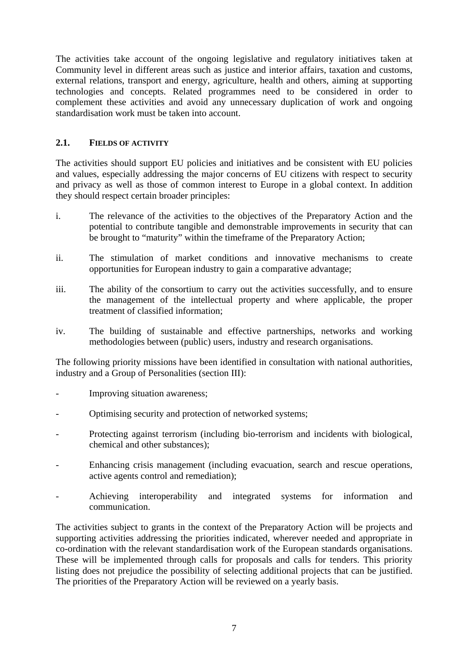The activities take account of the ongoing legislative and regulatory initiatives taken at Community level in different areas such as justice and interior affairs, taxation and customs, external relations, transport and energy, agriculture, health and others, aiming at supporting technologies and concepts. Related programmes need to be considered in order to complement these activities and avoid any unnecessary duplication of work and ongoing standardisation work must be taken into account.

# **2.1. FIELDS OF ACTIVITY**

The activities should support EU policies and initiatives and be consistent with EU policies and values, especially addressing the major concerns of EU citizens with respect to security and privacy as well as those of common interest to Europe in a global context. In addition they should respect certain broader principles:

- i. The relevance of the activities to the objectives of the Preparatory Action and the potential to contribute tangible and demonstrable improvements in security that can be brought to "maturity" within the timeframe of the Preparatory Action;
- ii. The stimulation of market conditions and innovative mechanisms to create opportunities for European industry to gain a comparative advantage;
- iii. The ability of the consortium to carry out the activities successfully, and to ensure the management of the intellectual property and where applicable, the proper treatment of classified information;
- iv. The building of sustainable and effective partnerships, networks and working methodologies between (public) users, industry and research organisations.

The following priority missions have been identified in consultation with national authorities, industry and a Group of Personalities (section III):

- Improving situation awareness;
- Optimising security and protection of networked systems;
- Protecting against terrorism (including bio-terrorism and incidents with biological, chemical and other substances);
- Enhancing crisis management (including evacuation, search and rescue operations, active agents control and remediation);
- Achieving interoperability and integrated systems for information and communication.

The activities subject to grants in the context of the Preparatory Action will be projects and supporting activities addressing the priorities indicated, wherever needed and appropriate in co-ordination with the relevant standardisation work of the European standards organisations. These will be implemented through calls for proposals and calls for tenders. This priority listing does not prejudice the possibility of selecting additional projects that can be justified. The priorities of the Preparatory Action will be reviewed on a yearly basis.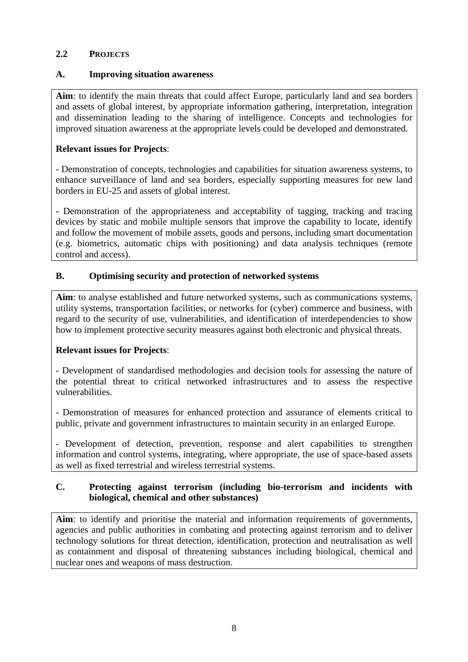#### **2.2 PROJECTS**

#### **A. Improving situation awareness**

**Aim**: to identify the main threats that could affect Europe, particularly land and sea borders and assets of global interest, by appropriate information gathering, interpretation, integration and dissemination leading to the sharing of intelligence. Concepts and technologies for improved situation awareness at the appropriate levels could be developed and demonstrated.

#### **Relevant issues for Projects**:

- Demonstration of concepts, technologies and capabilities for situation awareness systems, to enhance surveillance of land and sea borders, especially supporting measures for new land borders in EU-25 and assets of global interest.

- Demonstration of the appropriateness and acceptability of tagging, tracking and tracing devices by static and mobile multiple sensors that improve the capability to locate, identify and follow the movement of mobile assets, goods and persons, including smart documentation (e.g. biometrics, automatic chips with positioning) and data analysis techniques (remote control and access).

#### **B. Optimising security and protection of networked systems**

**Aim**: to analyse established and future networked systems, such as communications systems, utility systems, transportation facilities, or networks for (cyber) commerce and business, with regard to the security of use, vulnerabilities, and identification of interdependencies to show how to implement protective security measures against both electronic and physical threats.

# **Relevant issues for Projects**:

- Development of standardised methodologies and decision tools for assessing the nature of the potential threat to critical networked infrastructures and to assess the respective vulnerabilities.

- Demonstration of measures for enhanced protection and assurance of elements critical to public, private and government infrastructures to maintain security in an enlarged Europe.

- Development of detection, prevention, response and alert capabilities to strengthen information and control systems, integrating, where appropriate, the use of space-based assets as well as fixed terrestrial and wireless terrestrial systems.

# **C. Protecting against terrorism (including bio-terrorism and incidents with biological, chemical and other substances)**

**Aim**: to identify and prioritise the material and information requirements of governments, agencies and public authorities in combating and protecting against terrorism and to deliver technology solutions for threat detection, identification, protection and neutralisation as well as containment and disposal of threatening substances including biological, chemical and nuclear ones and weapons of mass destruction.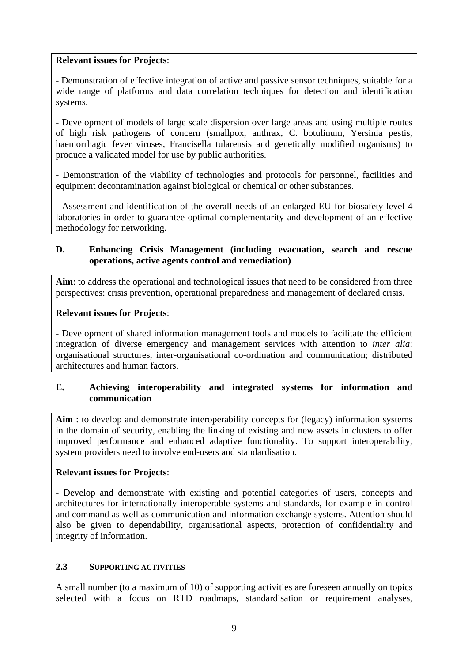#### **Relevant issues for Projects**:

- Demonstration of effective integration of active and passive sensor techniques, suitable for a wide range of platforms and data correlation techniques for detection and identification systems.

- Development of models of large scale dispersion over large areas and using multiple routes of high risk pathogens of concern (smallpox, anthrax, C. botulinum, Yersinia pestis, haemorrhagic fever viruses, Francisella tularensis and genetically modified organisms) to produce a validated model for use by public authorities.

- Demonstration of the viability of technologies and protocols for personnel, facilities and equipment decontamination against biological or chemical or other substances.

- Assessment and identification of the overall needs of an enlarged EU for biosafety level 4 laboratories in order to guarantee optimal complementarity and development of an effective methodology for networking.

#### **D. Enhancing Crisis Management (including evacuation, search and rescue operations, active agents control and remediation)**

Aim: to address the operational and technological issues that need to be considered from three perspectives: crisis prevention, operational preparedness and management of declared crisis.

# **Relevant issues for Projects**:

- Development of shared information management tools and models to facilitate the efficient integration of diverse emergency and management services with attention to *inter alia*: organisational structures, inter-organisational co-ordination and communication; distributed architectures and human factors.

# **E. Achieving interoperability and integrated systems for information and communication**

**Aim** : to develop and demonstrate interoperability concepts for (legacy) information systems in the domain of security, enabling the linking of existing and new assets in clusters to offer improved performance and enhanced adaptive functionality. To support interoperability, system providers need to involve end-users and standardisation.

# **Relevant issues for Projects**:

- Develop and demonstrate with existing and potential categories of users, concepts and architectures for internationally interoperable systems and standards, for example in control and command as well as communication and information exchange systems. Attention should also be given to dependability, organisational aspects, protection of confidentiality and integrity of information.

#### **2.3 SUPPORTING ACTIVITIES**

A small number (to a maximum of 10) of supporting activities are foreseen annually on topics selected with a focus on RTD roadmaps, standardisation or requirement analyses,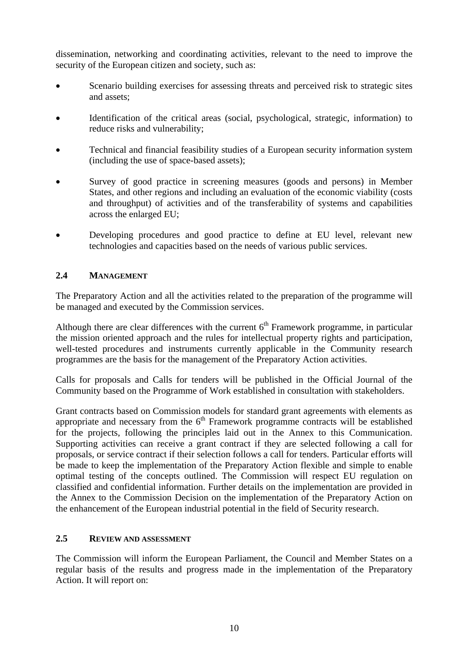dissemination, networking and coordinating activities, relevant to the need to improve the security of the European citizen and society, such as:

- Scenario building exercises for assessing threats and perceived risk to strategic sites and assets;
- Identification of the critical areas (social, psychological, strategic, information) to reduce risks and vulnerability;
- Technical and financial feasibility studies of a European security information system (including the use of space-based assets);
- Survey of good practice in screening measures (goods and persons) in Member States, and other regions and including an evaluation of the economic viability (costs and throughput) of activities and of the transferability of systems and capabilities across the enlarged EU;
- Developing procedures and good practice to define at EU level, relevant new technologies and capacities based on the needs of various public services.

#### **2.4 MANAGEMENT**

The Preparatory Action and all the activities related to the preparation of the programme will be managed and executed by the Commission services.

Although there are clear differences with the current  $6<sup>th</sup>$  Framework programme, in particular the mission oriented approach and the rules for intellectual property rights and participation, well-tested procedures and instruments currently applicable in the Community research programmes are the basis for the management of the Preparatory Action activities.

Calls for proposals and Calls for tenders will be published in the Official Journal of the Community based on the Programme of Work established in consultation with stakeholders.

Grant contracts based on Commission models for standard grant agreements with elements as appropriate and necessary from the  $6<sup>th</sup>$  Framework programme contracts will be established for the projects, following the principles laid out in the Annex to this Communication. Supporting activities can receive a grant contract if they are selected following a call for proposals, or service contract if their selection follows a call for tenders. Particular efforts will be made to keep the implementation of the Preparatory Action flexible and simple to enable optimal testing of the concepts outlined. The Commission will respect EU regulation on classified and confidential information. Further details on the implementation are provided in the Annex to the Commission Decision on the implementation of the Preparatory Action on the enhancement of the European industrial potential in the field of Security research.

#### **2.5 REVIEW AND ASSESSMENT**

The Commission will inform the European Parliament, the Council and Member States on a regular basis of the results and progress made in the implementation of the Preparatory Action. It will report on: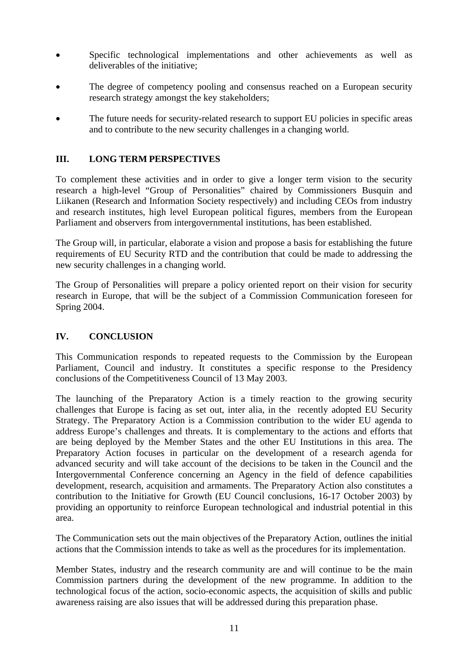- Specific technological implementations and other achievements as well as deliverables of the initiative;
- The degree of competency pooling and consensus reached on a European security research strategy amongst the key stakeholders;
- The future needs for security-related research to support EU policies in specific areas and to contribute to the new security challenges in a changing world.

#### **III. LONG TERM PERSPECTIVES**

To complement these activities and in order to give a longer term vision to the security research a high-level "Group of Personalities" chaired by Commissioners Busquin and Liikanen (Research and Information Society respectively) and including CEOs from industry and research institutes, high level European political figures, members from the European Parliament and observers from intergovernmental institutions, has been established.

The Group will, in particular, elaborate a vision and propose a basis for establishing the future requirements of EU Security RTD and the contribution that could be made to addressing the new security challenges in a changing world.

The Group of Personalities will prepare a policy oriented report on their vision for security research in Europe, that will be the subject of a Commission Communication foreseen for Spring 2004.

#### **IV. CONCLUSION**

This Communication responds to repeated requests to the Commission by the European Parliament, Council and industry. It constitutes a specific response to the Presidency conclusions of the Competitiveness Council of 13 May 2003.

The launching of the Preparatory Action is a timely reaction to the growing security challenges that Europe is facing as set out, inter alia, in the recently adopted EU Security Strategy. The Preparatory Action is a Commission contribution to the wider EU agenda to address Europe's challenges and threats. It is complementary to the actions and efforts that are being deployed by the Member States and the other EU Institutions in this area. The Preparatory Action focuses in particular on the development of a research agenda for advanced security and will take account of the decisions to be taken in the Council and the Intergovernmental Conference concerning an Agency in the field of defence capabilities development, research, acquisition and armaments. The Preparatory Action also constitutes a contribution to the Initiative for Growth (EU Council conclusions, 16-17 October 2003) by providing an opportunity to reinforce European technological and industrial potential in this area.

The Communication sets out the main objectives of the Preparatory Action, outlines the initial actions that the Commission intends to take as well as the procedures for its implementation.

Member States, industry and the research community are and will continue to be the main Commission partners during the development of the new programme. In addition to the technological focus of the action, socio-economic aspects, the acquisition of skills and public awareness raising are also issues that will be addressed during this preparation phase.